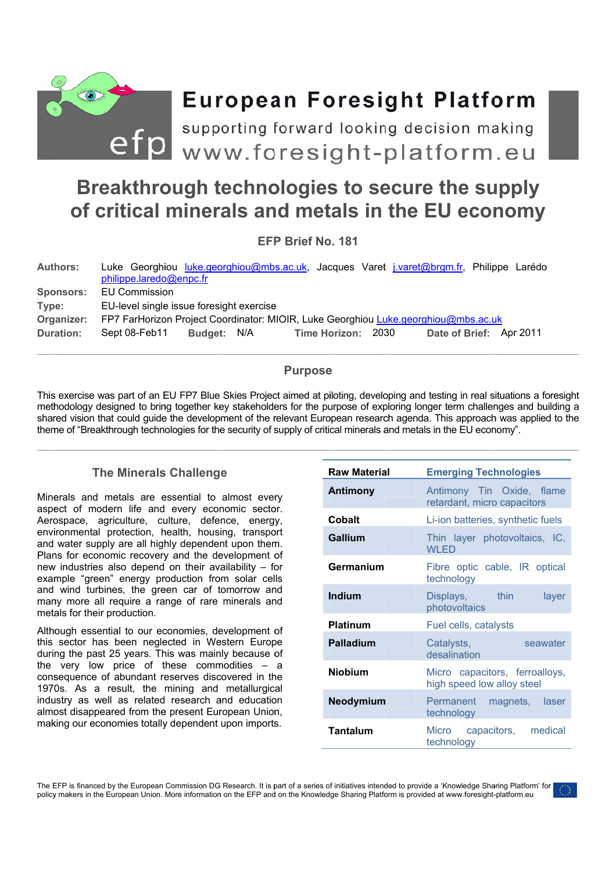

# **European Foresight Platform**

efp www.foresight-platform.eu supporting forward looking decision making

## Breakthrough technologies to secure the supply of critical minerals and metals in the EU economy

EFP Brief No. 181

| <b>EU Commission</b>                                                               |  |                         |             |  |  |                    |                                                                                                                    |
|------------------------------------------------------------------------------------|--|-------------------------|-------------|--|--|--------------------|--------------------------------------------------------------------------------------------------------------------|
| EU-level single issue foresight exercise                                           |  |                         |             |  |  |                    |                                                                                                                    |
| FP7 FarHorizon Project Coordinator: MIOIR, Luke Georghiou Luke.georghiou@mbs.ac.uk |  |                         |             |  |  |                    |                                                                                                                    |
| Sept 08-Feb11                                                                      |  |                         |             |  |  |                    |                                                                                                                    |
|                                                                                    |  | philippe.laredo@enpc.fr | Budget: N/A |  |  | Time Horizon: 2030 | Luke Georghiou luke.georghiou@mbs.ac.uk, Jacques Varet j.varet@brgm.fr, Philippe Larédo<br>Date of Brief: Apr 2011 |

## **Purpose**

This exercise was part of an EU FP7 Blue Skies Project aimed at piloting, developing and testing in real situations a foresight methodology designed to bring together key stakeholders for the purpose of exploring longer term challenges and building a shared vision that could quide the development of the relevant European research agenda. This approach was applied to the theme of "Breakthrough technologies for the security of supply of critical minerals and metals in the EU economy".

## **The Minerals Challenge**

Minerals and metals are essential to almost every aspect of modern life and every economic sector. Aerospace, agriculture, culture, defence, energy, environmental protection, health, housing, transport and water supply are all highly dependent upon them. Plans for economic recovery and the development of new industries also depend on their availability - for example "green" energy production from solar cells and wind turbines, the green car of tomorrow and many more all require a range of rare minerals and metals for their production.

Although essential to our economies, development of this sector has been neglected in Western Europe during the past 25 years. This was mainly because of the very low price of these commodities  $-$  a consequence of abundant reserves discovered in the 1970s. As a result, the mining and metallurgical industry as well as related research and education almost disappeared from the present European Union, making our economies totally dependent upon imports.

| <b>Raw Material</b> | <b>Emerging Technologies</b>                                 |  |  |  |  |
|---------------------|--------------------------------------------------------------|--|--|--|--|
| <b>Antimony</b>     | Antimony Tin Oxide, flame<br>retardant, micro capacitors     |  |  |  |  |
| Cobalt              | Li-ion batteries, synthetic fuels                            |  |  |  |  |
| Gallium             | Thin layer photovoltaics, IC,<br><b>WI FD</b>                |  |  |  |  |
| Germanium           | Fibre optic cable, IR optical<br>technology                  |  |  |  |  |
| <b>Indium</b>       | thin<br>Displays,<br>layer<br>photovoltaics                  |  |  |  |  |
| <b>Platinum</b>     | Fuel cells, catalysts                                        |  |  |  |  |
| Palladium           | Catalysts,<br>seawater<br>desalination                       |  |  |  |  |
| <b>Niobium</b>      | Micro capacitors, ferroalloys,<br>high speed low alloy steel |  |  |  |  |
| Neodymium           | Permanent magnets, laser<br>technology                       |  |  |  |  |
| Tantalum            | Micro capacitors, medical<br>technology                      |  |  |  |  |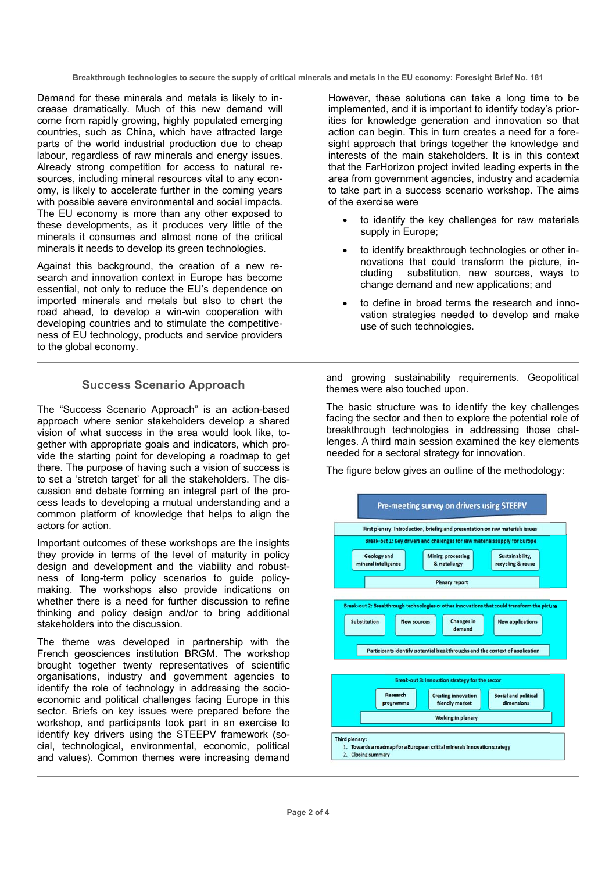Breakthrough technologies to secure the supply of critical minerals and metals in the EU economy: Foresight Brief No. 181

Demand for these minerals and metals is likely to increase dramatically. Much of this new demand will come from rapidly growing, highly populated emerging countries, such as China, which have attracted large parts of the world industrial production due to cheap labour, regardless of raw minerals and energy issues. Already strong competition for access to natural resources, including mineral resources vital to any economy, is likely to accelerate further in the coming years with possible severe environmental and social impacts. The EU economy is more than any other exposed to these developments, as it produces very little of the minerals it consumes and almost none of the critical minerals it needs to develop its green technologies.

Against this background, the creation of a new research and innovation context in Europe has become essential, not only to reduce the EU's dependence on imported minerals and metals but also to chart the road ahead, to develop a win-win cooperation with developing countries and to stimulate the competitiveness of EU technology, products and service providers to the global economy.

## **Success Scenario Approach**

The "Success Scenario Approach" is an action-based approach where senior stakeholders develop a shared vision of what success in the area would look like, together with appropriate goals and indicators, which provide the starting point for developing a roadmap to get there. The purpose of having such a vision of success is to set a 'stretch target' for all the stakeholders. The discussion and debate forming an integral part of the process leads to developing a mutual understanding and a common platform of knowledge that helps to align the actors for action.

Important outcomes of these workshops are the insights they provide in terms of the level of maturity in policy design and development and the viability and robustness of long-term policy scenarios to quide policymaking. The workshops also provide indications on whether there is a need for further discussion to refine thinking and policy design and/or to bring additional stakeholders into the discussion.

The theme was developed in partnership with the French geosciences institution BRGM. The workshop brought together twenty representatives of scientific organisations, industry and government agencies to identify the role of technology in addressing the socioeconomic and political challenges facing Europe in this sector. Briefs on key issues were prepared before the workshop, and participants took part in an exercise to identify key drivers using the STEEPV framework (social, technological, environmental, economic, political and values). Common themes were increasing demand

However, these solutions can take a long time to be implemented, and it is important to identify today's priorities for knowledge generation and innovation so that action can begin. This in turn creates a need for a foresight approach that brings together the knowledge and interests of the main stakeholders. It is in this context that the FarHorizon project invited leading experts in the area from government agencies, industry and academia to take part in a success scenario workshop. The aims of the exercise were

- to identify the key challenges for raw materials supply in Europe;
- to identify breakthrough technologies or other innovations that could transform the picture, insubstitution, new sources, ways to cludina change demand and new applications: and
- to define in broad terms the research and innovation strategies needed to develop and make use of such technologies.

and growing sustainability requirements. Geopolitical themes were also touched upon.

The basic structure was to identify the key challenges facing the sector and then to explore the potential role of breakthrough technologies in addressing those challenges. A third main session examined the key elements needed for a sectoral strategy for innovation.

The figure below gives an outline of the methodology:

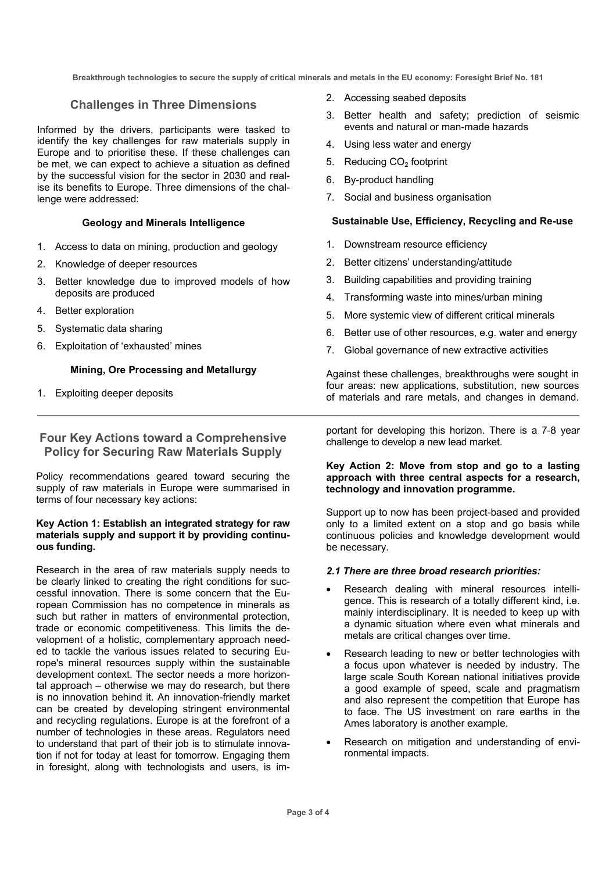**Breakthrough technologies to secure the supply of critical minerals and metals in the EU economy: Foresight Brief No. 181** 

## **Challenges in Three Dimensions**

Informed by the drivers, participants were tasked to identify the key challenges for raw materials supply in Europe and to prioritise these. If these challenges can be met, we can expect to achieve a situation as defined by the successful vision for the sector in 2030 and realise its benefits to Europe. Three dimensions of the challenge were addressed:

#### **Geology and Minerals Intelligence**

- 1. Access to data on mining, production and geology
- 2. Knowledge of deeper resources
- 3. Better knowledge due to improved models of how deposits are produced
- 4. Better exploration
- 5. Systematic data sharing
- 6. Exploitation of 'exhausted' mines

## **Mining, Ore Processing and Metallurgy**

1. Exploiting deeper deposits

## **Four Key Actions toward a Comprehensive Policy for Securing Raw Materials Supply**

Policy recommendations geared toward securing the supply of raw materials in Europe were summarised in terms of four necessary key actions:

#### **Key Action 1: Establish an integrated strategy for raw materials supply and support it by providing continuous funding.**

Research in the area of raw materials supply needs to be clearly linked to creating the right conditions for successful innovation. There is some concern that the European Commission has no competence in minerals as such but rather in matters of environmental protection. trade or economic competitiveness. This limits the development of a holistic, complementary approach needed to tackle the various issues related to securing Europe's mineral resources supply within the sustainable development context. The sector needs a more horizontal approach – otherwise we may do research, but there is no innovation behind it. An innovation-friendly market can be created by developing stringent environmental and recycling regulations. Europe is at the forefront of a number of technologies in these areas. Regulators need to understand that part of their job is to stimulate innovation if not for today at least for tomorrow. Engaging them in foresight, along with technologists and users, is im-

- 2. Accessing seabed deposits
- 3. Better health and safety; prediction of seismic events and natural or man-made hazards
- 4. Using less water and energy
- 5. Reducing CO<sub>2</sub> footprint
- 6. By-product handling
- 7. Social and business organisation

## **Sustainable Use, Efficiency, Recycling and Re-use**

- 1. Downstream resource efficiency
- 2. Better citizens' understanding/attitude
- 3. Building capabilities and providing training
- 4. Transforming waste into mines/urban mining
- 5. More systemic view of different critical minerals
- 6. Better use of other resources, e.g. water and energy
- 7. Global governance of new extractive activities

Against these challenges, breakthroughs were sought in four areas: new applications, substitution, new sources of materials and rare metals, and changes in demand.

portant for developing this horizon. There is a 7-8 year challenge to develop a new lead market.

### **Key Action 2: Move from stop and go to a lasting approach with three central aspects for a research, technology and innovation programme.**

Support up to now has been project-based and provided only to a limited extent on a stop and go basis while continuous policies and knowledge development would be necessary.

#### *2.1 There are three broad research priorities:*

- Research dealing with mineral resources intelligence. This is research of a totally different kind, i.e. mainly interdisciplinary. It is needed to keep up with a dynamic situation where even what minerals and metals are critical changes over time.
- Research leading to new or better technologies with a focus upon whatever is needed by industry. The large scale South Korean national initiatives provide a good example of speed, scale and pragmatism and also represent the competition that Europe has to face. The US investment on rare earths in the Ames laboratory is another example.
- Research on mitigation and understanding of environmental impacts.